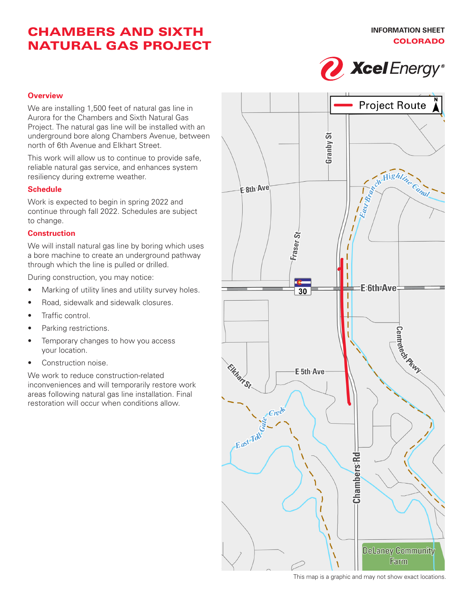# CHAMBERS AND SIXTH NATURAL GAS PROJECT



#### **Overview**

We are installing 1,500 feet of natural gas line in Aurora for the Chambers and Sixth Natural Gas Project. The natural gas line will be installed with an underground bore along Chambers Avenue, between north of 6th Avenue and Elkhart Street.

This work will allow us to continue to provide safe, reliable natural gas service, and enhances system resiliency during extreme weather.

#### **Schedule**

Work is expected to begin in spring 2022 and continue through fall 2022. Schedules are subject to change.

#### **Construction**

We will install natural gas line by boring which uses a bore machine to create an underground pathway through which the line is pulled or drilled.

During construction, you may notice:

- Marking of utility lines and utility survey holes.
- Road, sidewalk and sidewalk closures.
- Traffic control.
- Parking restrictions.
- Temporary changes to how you access your location.
- Construction noise.

We work to reduce construction-related inconveniences and will temporarily restore work areas following natural gas line installation. Final restoration will occur when conditions allow.



This map is a graphic and may not show exact locations.